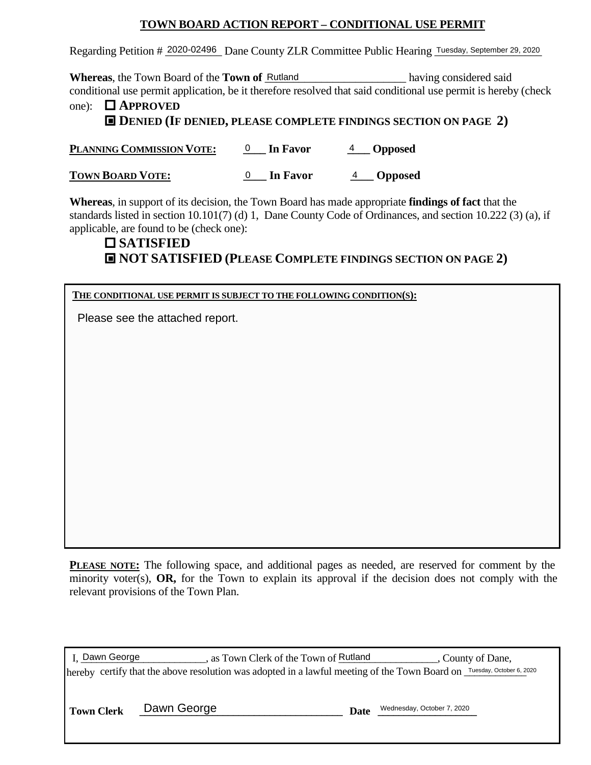# **TOWN BOARD ACTION REPORT – CONDITIONAL USE PERMIT**

Regarding Petition # 2020-02496 Dane County ZLR Committee Public Hearing Tuesday, September 29, 2020

**Whereas**, the Town Board of the **Town of** <u>Rutland having</u> considered said conditional use permit application, be it therefore resolved that said conditional use permit is hereby (check one): **APPROVED**

# **DENIED (IF DENIED, PLEASE COMPLETE FINDINGS SECTION ON PAGE 2)** ■

**PLANNING COMMISSION VOTE:**  $0$  In Favor  $4$  Opposed  $0$  In Favor

**TOWN BOARD VOTE:**  $0$  In Favor  $4$  Opposed 0 In Favor

**Whereas**, in support of its decision, the Town Board has made appropriate **findings of fact** that the standards listed in section 10.101(7) (d) 1, Dane County Code of Ordinances, and section 10.222 (3) (a), if applicable, are found to be (check one):

# **SATISFIED NOT SATISFIED (PLEASE COMPLETE FINDINGS SECTION ON PAGE 2)** ■

## **THE CONDITIONAL USE PERMIT IS SUBJECT TO THE FOLLOWING CONDITION(S):**

Please see the attached report.

**PLEASE NOTE:** The following space, and additional pages as needed, are reserved for comment by the minority voter(s), **OR,** for the Town to explain its approval if the decision does not comply with the relevant provisions of the Town Plan.

| I. Dawn George                                                                                                         | , as Town Clerk of the Town of Rutland | , County of Dane, |
|------------------------------------------------------------------------------------------------------------------------|----------------------------------------|-------------------|
| hereby certify that the above resolution was adopted in a lawful meeting of the Town Board on Tuesday, October 6, 2020 |                                        |                   |

**Town Clerk LEAU CEORGE 1999 Date LEAU CEORGE 1, 2020** 

| Date | Wednesday, October 7, 2020 |
|------|----------------------------|
|------|----------------------------|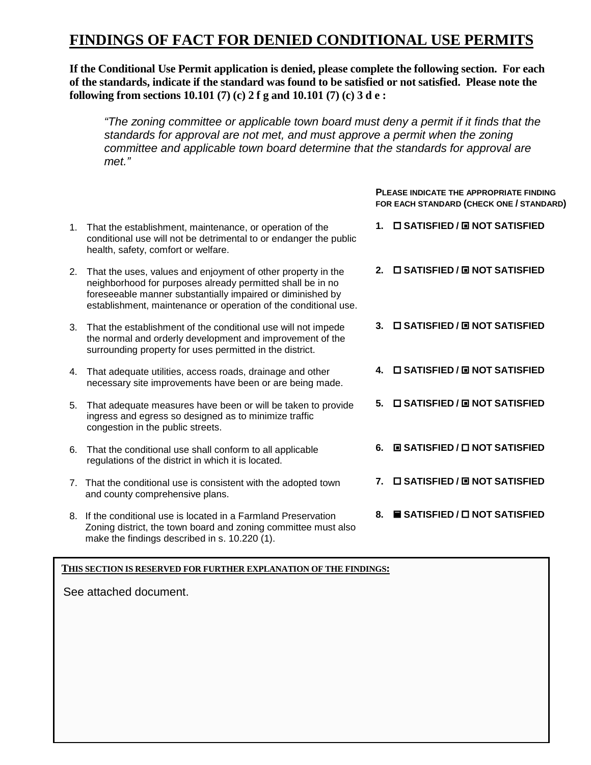# **FINDINGS OF FACT FOR DENIED CONDITIONAL USE PERMITS**

**If the Conditional Use Permit application is denied, please complete the following section. For each of the standards, indicate if the standard was found to be satisfied or not satisfied. Please note the following from sections 10.101 (7) (c) 2 f g and 10.101 (7) (c) 3 d e :** 

*"The zoning committee or applicable town board must deny a permit if it finds that the standards for approval are not met, and must approve a permit when the zoning committee and applicable town board determine that the standards for approval are met."*

> **FOR EACH STANDARD (CHECK ONE / STANDARD) 1. SATISFIED / NOT SATISFIED** ■

- 1. That the establishment, maintenance, or operation of the conditional use will not be detrimental to or endanger the public health, safety, comfort or welfare.
- 2. That the uses, values and enjoyment of other property in the neighborhood for purposes already permitted shall be in no foreseeable manner substantially impaired or diminished by establishment, maintenance or operation of the conditional use.
- 3. That the establishment of the conditional use will not impede the normal and orderly development and improvement of the surrounding property for uses permitted in the district.
- 4. That adequate utilities, access roads, drainage and other necessary site improvements have been or are being made.
- 5. That adequate measures have been or will be taken to provide ingress and egress so designed as to minimize traffic congestion in the public streets.
- 6. That the conditional use shall conform to all applicable regulations of the district in which it is located.
- 7. That the conditional use is consistent with the adopted town and county comprehensive plans.
- 8. If the conditional use is located in a Farmland Preservation Zoning district, the town board and zoning committee must also make the findings described in s. 10.220 (1).

**2. SATISFIED / NOT SATISFIED** ■

**PLEASE INDICATE THE APPROPRIATE FINDING** 

- **3. SATISFIED / NOT SATISFIED** ■
- **4. SATISFIED / NOT SATISFIED** ■
- **5. SATISFIED / NOT SATISFIED** ■
- **6. SATISFIED / NOT SATISFIED** ■
- **7. SATISFIED / NOT SATISFIED** ■
- **8. SATISFIED / NOT SATISFIED**

#### **THIS SECTION IS RESERVED FOR FURTHER EXPLANATION OF THE FINDINGS:**

See attached document.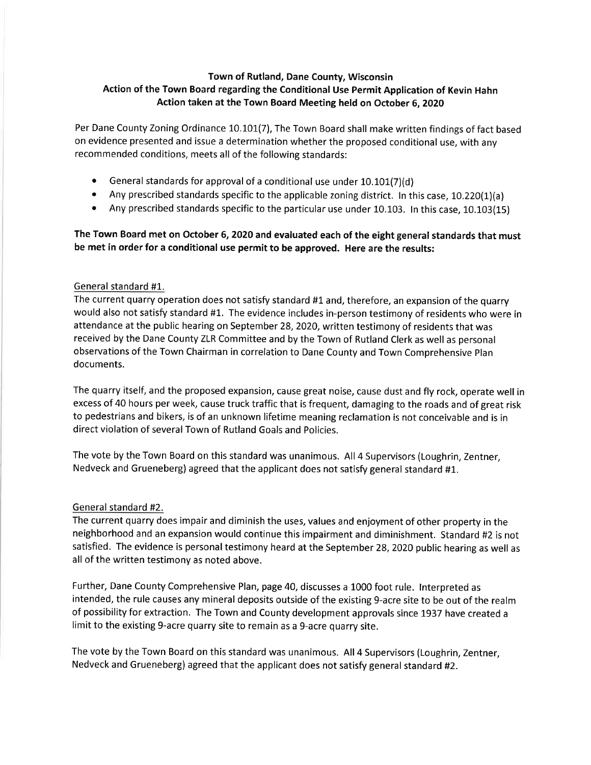## Town of Rutland, Dane County, Wisconsin Action of the Town Board regarding the Conditional Use Permit Application of Kevin Hahn Action taken at the Town Board Meeting held on October 6, 2020

Per Dane County Zoning Ordinance 10.101(7), The Town Board shall make written findings of fact based on evidence presented and issue a determination whether the proposed conditional use, with any recommended conditions, meets all of the following standards:

- General standards for approval of a conditional use under 10.101(7)(d)
- $\bullet$ Any prescribed standards specific to the applicable zoning district. In this case, 10.220(1)(a)
- Any prescribed standards specific to the particular use under 10.103. In this case, 10.103(15)  $\bullet$

## The Town Board met on October 6, 2020 and evaluated each of the eight general standards that must be met in order for a conditional use permit to be approved. Here are the results:

#### General standard #1.

The current quarry operation does not satisfy standard #1 and, therefore, an expansion of the quarry would also not satisfy standard #1. The evidence includes in-person testimony of residents who were in attendance at the public hearing on September 28, 2020, written testimony of residents that was received by the Dane County ZLR Committee and by the Town of Rutland Clerk as well as personal observations of the Town Chairman in correlation to Dane County and Town Comprehensive Plan documents.

The quarry itself, and the proposed expansion, cause great noise, cause dust and fly rock, operate well in excess of 40 hours per week, cause truck traffic that is frequent, damaging to the roads and of great risk to pedestrians and bikers, is of an unknown lifetime meaning reclamation is not conceivable and is in direct violation of several Town of Rutland Goals and Policies.

The vote by the Town Board on this standard was unanimous. All 4 Supervisors (Loughrin, Zentner, Nedveck and Grueneberg) agreed that the applicant does not satisfy general standard #1.

#### General standard #2.

The current quarry does impair and diminish the uses, values and enjoyment of other property in the neighborhood and an expansion would continue this impairment and diminishment. Standard #2 is not satisfied. The evidence is personal testimony heard at the September 28, 2020 public hearing as well as all of the written testimony as noted above.

Further, Dane County Comprehensive Plan, page 40, discusses a 1000 foot rule. Interpreted as intended, the rule causes any mineral deposits outside of the existing 9-acre site to be out of the realm of possibility for extraction. The Town and County development approvals since 1937 have created a limit to the existing 9-acre quarry site to remain as a 9-acre quarry site.

The vote by the Town Board on this standard was unanimous. All 4 Supervisors (Loughrin, Zentner, Nedveck and Grueneberg) agreed that the applicant does not satisfy general standard #2.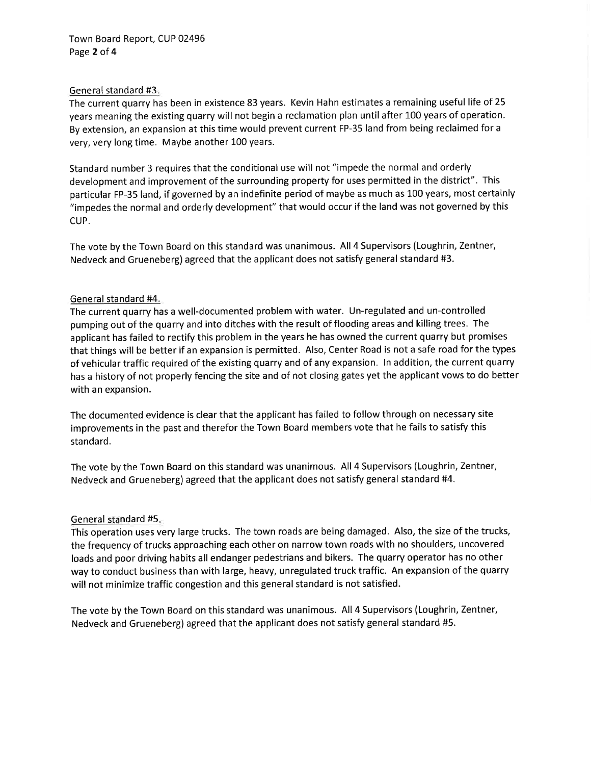#### General standard #3.

The current quarry has been in existence 83 years. Kevin Hahn estimates a remaining useful life of 25 years meaning the existing quarry will not begin a reclamation plan until after 100 years of operation. By extension, an expansion at this time would prevent current FP-35 land from being reclaimed for a very, very long time. Maybe another 100 years.

Standard number 3 requires that the conditional use will not "impede the normal and orderly development and improvement of the surrounding property for uses permitted in the district". This particular FP-35 land, if governed by an indefinite period of maybe as much as 100 years, most certainly "impedes the normal and orderly development" that would occur if the land was not governed by this CUP.

The vote by the Town Board on this standard was unanimous. All 4 Supervisors (Loughrin, Zentner, Nedveck and Grueneberg) agreed that the applicant does not satisfy general standard #3.

## General standard #4.

The current quarry has a well-documented problem with water. Un-regulated and un-controlled pumping out of the quarry and into ditches with the result of flooding areas and killing trees. The applicant has failed to rectify this problem in the years he has owned the current quarry but promises that things will be better if an expansion is permitted. Also, Center Road is not a safe road for the types of vehicular traffic required of the existing quarry and of any expansion. In addition, the current quarry has a history of not properly fencing the site and of not closing gates yet the applicant vows to do better with an expansion.

The documented evidence is clear that the applicant has failed to follow through on necessary site improvements in the past and therefor the Town Board members vote that he fails to satisfy this standard.

The vote by the Town Board on this standard was unanimous. All 4 Supervisors (Loughrin, Zentner, Nedveck and Grueneberg) agreed that the applicant does not satisfy general standard #4.

#### General standard #5.

This operation uses very large trucks. The town roads are being damaged. Also, the size of the trucks, the frequency of trucks approaching each other on narrow town roads with no shoulders, uncovered loads and poor driving habits all endanger pedestrians and bikers. The quarry operator has no other way to conduct business than with large, heavy, unregulated truck traffic. An expansion of the quarry will not minimize traffic congestion and this general standard is not satisfied.

The vote by the Town Board on this standard was unanimous. All 4 Supervisors (Loughrin, Zentner, Nedveck and Grueneberg) agreed that the applicant does not satisfy general standard #5.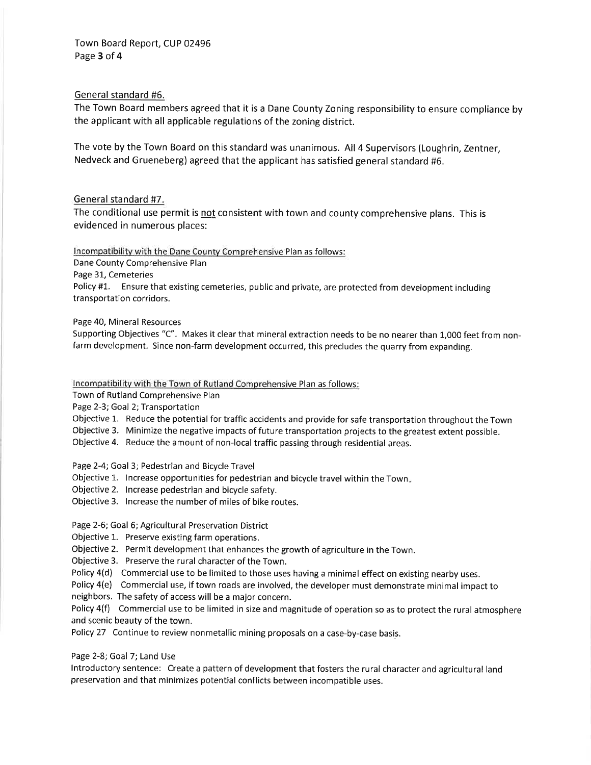#### General standard #6.

The Town Board members agreed that it is a Dane County Zoning responsibility to ensure compliance by the applicant with all applicable regulations of the zoning district.

The vote by the Town Board on this standard was unanimous. All 4 Supervisors (Loughrin, Zentner, Nedveck and Grueneberg) agreed that the applicant has satisfied general standard #6.

#### General standard #7.

The conditional use permit is not consistent with town and county comprehensive plans. This is evidenced in numerous places:

Incompatibility with the Dane County Comprehensive Plan as follows:

Dane County Comprehensive Plan

Page 31, Cemeteries

Policy #1. Ensure that existing cemeteries, public and private, are protected from development including transportation corridors.

#### Page 40. Mineral Resources

Supporting Objectives "C". Makes it clear that mineral extraction needs to be no nearer than 1,000 feet from nonfarm development. Since non-farm development occurred, this precludes the quarry from expanding.

#### Incompatibility with the Town of Rutland Comprehensive Plan as follows:

Town of Rutland Comprehensive Plan

Page 2-3; Goal 2; Transportation

Objective 1. Reduce the potential for traffic accidents and provide for safe transportation throughout the Town

Objective 3. Minimize the negative impacts of future transportation projects to the greatest extent possible.

Objective 4. Reduce the amount of non-local traffic passing through residential areas.

Page 2-4; Goal 3; Pedestrian and Bicycle Travel

- Objective 1. Increase opportunities for pedestrian and bicycle travel within the Town.
- Objective 2. Increase pedestrian and bicycle safety.
- Objective 3. Increase the number of miles of bike routes.

#### Page 2-6; Goal 6; Agricultural Preservation District

- Objective 1. Preserve existing farm operations.
- Objective 2. Permit development that enhances the growth of agriculture in the Town.
- Objective 3. Preserve the rural character of the Town.
- Policy 4(d) Commercial use to be limited to those uses having a minimal effect on existing nearby uses.
- Policy 4(e) Commercial use, if town roads are involved, the developer must demonstrate minimal impact to
- neighbors. The safety of access will be a major concern.

Policy 4(f) Commercial use to be limited in size and magnitude of operation so as to protect the rural atmosphere and scenic beauty of the town.

Policy 27 Continue to review nonmetallic mining proposals on a case-by-case basis.

Page 2-8; Goal 7; Land Use

Introductory sentence: Create a pattern of development that fosters the rural character and agricultural land preservation and that minimizes potential conflicts between incompatible uses.